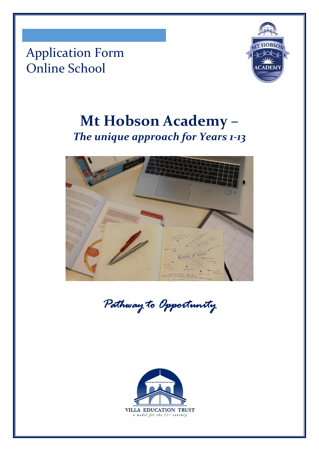Application Form Online School



# **Mt Hobson Academy –** *The unique approach for Years 1-13*



*Pathway to Opportunity* 

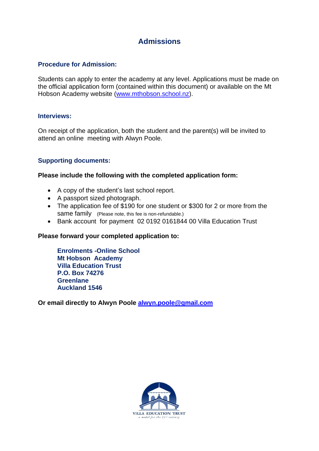## **Admissions**

#### **Procedure for Admission:**

Students can apply to enter the academy at any level. Applications must be made on the official application form (contained within this document) or available on the Mt Hobson Academy website [\(www.mthobson.school.nz\)](http://www.mthobson.school.nz/).

#### **Interviews:**

On receipt of the application, both the student and the parent(s) will be invited to attend an online meeting with Alwyn Poole.

#### **Supporting documents:**

#### **Please include the following with the completed application form:**

- A copy of the student's last school report.
- A passport sized photograph.
- The application fee of \$190 for one student or \$300 for 2 or more from the same family (Please note, this fee is non-refundable.)
- Bank account for payment 02 0192 0161844 00 Villa Education Trust

#### **Please forward your completed application to:**

**Enrolments -Online School Mt Hobson Academy Villa Education Trust P.O. Box 74276 Greenlane Auckland 1546**

**Or email directly to Alwyn Poole [alwyn.poole@gmail.com](mailto:alwyn.poole@gmail.com)**

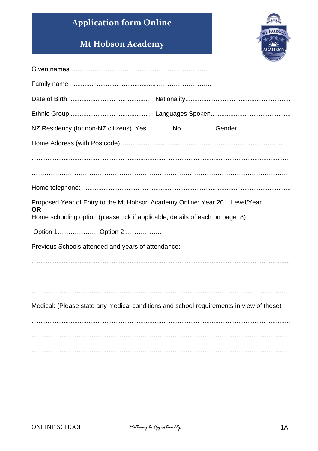## **Application form Online**

## Mt Hobson Academy



| NZ Residency (for non-NZ citizens) Yes  No  Gender                                                                                                                        |
|---------------------------------------------------------------------------------------------------------------------------------------------------------------------------|
|                                                                                                                                                                           |
|                                                                                                                                                                           |
|                                                                                                                                                                           |
|                                                                                                                                                                           |
| Proposed Year of Entry to the Mt Hobson Academy Online: Year 20. Level/Year<br><b>OR</b><br>Home schooling option (please tick if applicable, details of each on page 8): |
| Option 1 Option 2                                                                                                                                                         |
| Previous Schools attended and years of attendance:                                                                                                                        |
|                                                                                                                                                                           |
|                                                                                                                                                                           |
|                                                                                                                                                                           |
| Medical: (Please state any medical conditions and school requirements in view of these)                                                                                   |
|                                                                                                                                                                           |
|                                                                                                                                                                           |
|                                                                                                                                                                           |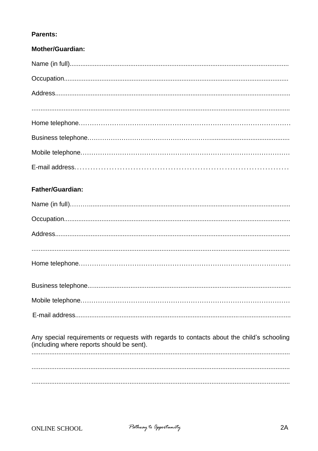### **Parents:**

| <b>Mother/Guardian:</b> |
|-------------------------|
|                         |
|                         |
|                         |
|                         |
|                         |
|                         |
|                         |
|                         |

## **Father/Guardian:**

| Any special requirements or requests with regards to contacts about the child's schooling<br>(including where reports should be sent). |
|----------------------------------------------------------------------------------------------------------------------------------------|
|                                                                                                                                        |
|                                                                                                                                        |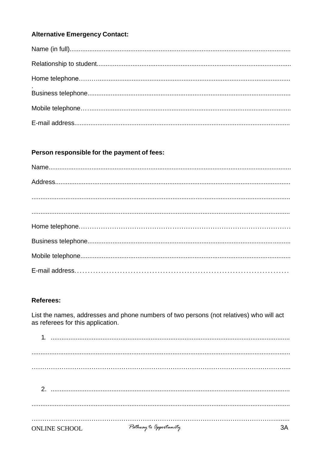## **Alternative Emergency Contact:**

## Person responsible for the payment of fees:

### **Referees:**

List the names, addresses and phone numbers of two persons (not relatives) who will act as referees for this application.

| <b>ONLINE SCHOOL</b> | Pathway to Opportunity |  |
|----------------------|------------------------|--|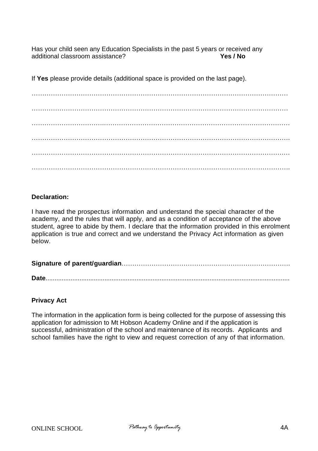Has your child seen any Education Specialists in the past 5 years or received any additional classroom assistance? additional classroom assistance?

If **Yes** please provide details (additional space is provided on the last page).

………………………………………………………………………………………………………… ………………………………………………………………………………………………………… …………………………….…………………………………………………………………………… …………………………………………………………………………………………………………. . The contract of the contract of the contract of the contract of the contract of the contract of the contract of the contract of the contract of the contract of the contract of the contract of the contract of the contrac ………………………………………………………………………………………………………….

#### **Declaration:**

I have read the prospectus information and understand the special character of the academy, and the rules that will apply, and as a condition of acceptance of the above student, agree to abide by them. I declare that the information provided in this enrolment application is true and correct and we understand the Privacy Act information as given below.

**Signature of parent/guardian**…………………………………………………………………….

**Date**.........................................................................................................................................

#### **Privacy Act**

The information in the application form is being collected for the purpose of assessing this application for admission to Mt Hobson Academy Online and if the application is successful, administration of the school and maintenance of its records. Applicants and school families have the right to view and request correction of any of that information.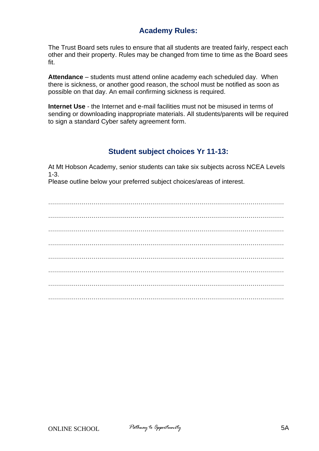## **Academy Rules:**

The Trust Board sets rules to ensure that all students are treated fairly, respect each other and their property. Rules may be changed from time to time as the Board sees fit.

**Attendance** – students must attend online academy each scheduled day. When there is sickness, or another good reason, the school must be notified as soon as possible on that day. An email confirming sickness is required.

**Internet Use** - the Internet and e-mail facilities must not be misused in terms of sending or downloading inappropriate materials. All students/parents will be required to sign a standard Cyber safety agreement form.

## **Student subject choices Yr 11-13:**

At Mt Hobson Academy, senior students can take six subjects across NCEA Levels 1-3.

Please outline below your preferred subject choices/areas of interest.

. The contract of the contract of the contract of the contract of the contract of the contract of the contract of the contract of the contract of the contract of the contract of the contract of the contract of the contrac ………………………………………………………………………………………………………… ………………………………………………………………………………………………………… ………………………………………………………………………………………………………… ………………………………………………………………………………………………………… . The contract of the contract of the contract of the contract of the contract of the contract of the contract of the contract of the contract of the contract of the contract of the contract of the contract of the contrac . The contract of the contract of the contract of the contract of the contract of the contract of the contract of the contract of the contract of the contract of the contract of the contract of the contract of the contrac …………………………………………………………………………………………………………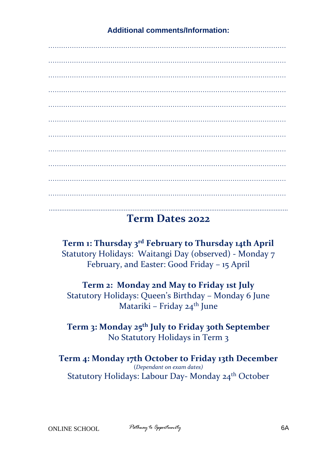………………………………………………………………………………………………… ………………………………………………………………………………………………… ………………………………………………………………………………………………… ………………………………………………………………………………………………… ………………………………………………………………………………………………… ………………………………………………………………………………………………… ………………………………………………………………………………………………… ………………………………………………………………………………………………… ………………………………………………………………………………………………… ………………………………………………………………………………………………… ......................................................................................................................................

## **Term Dates 2022**

**Term 1: Thursday 3 rd February to Thursday 14th April** Statutory Holidays: Waitangi Day (observed) - Monday 7 February, and Easter: Good Friday – 15 April

**Term 2: Monday 2nd May to Friday 1st July** Statutory Holidays: Queen's Birthday – Monday 6 June Matariki – Friday 24<sup>th</sup> June

**Term 3: Monday 25th July to Friday 30th September** No Statutory Holidays in Term 3

**Term 4: Monday 17th October to Friday 13th December** (*Dependant on exam dates)* Statutory Holidays: Labour Day- Monday 24<sup>th</sup> October

**Additional comments/Information:**